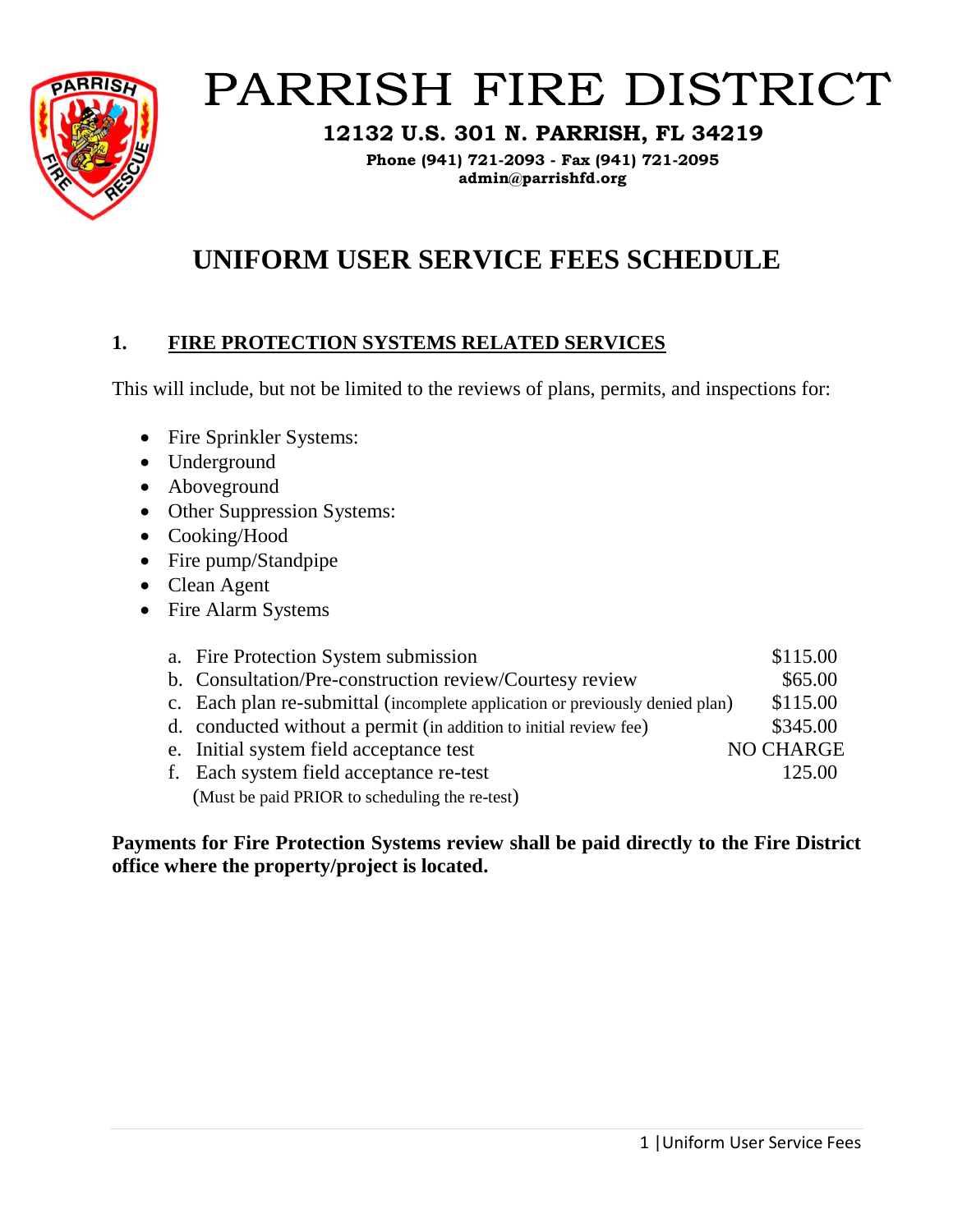

# PARRISH FIRE DISTRICT

**12132 U.S. 301 N. PARRISH, FL 34219**

**Phone (941) 721-2093 - Fax (941) 721-2095 admin@parrishfd.org**

# **UNIFORM USER SERVICE FEES SCHEDULE**

# **1. FIRE PROTECTION SYSTEMS RELATED SERVICES**

This will include, but not be limited to the reviews of plans, permits, and inspections for:

- Fire Sprinkler Systems:
- Underground
- Aboveground
- Other Suppression Systems:
- Cooking/Hood
- Fire pump/Standpipe
- Clean Agent
- Fire Alarm Systems

| a. Fire Protection System submission                                         | \$115.00         |
|------------------------------------------------------------------------------|------------------|
| b. Consultation/Pre-construction review/Courtesy review                      | \$65.00          |
| c. Each plan re-submittal (incomplete application or previously denied plan) | \$115.00         |
| d. conducted without a permit (in addition to initial review fee)            | \$345.00         |
| e. Initial system field acceptance test                                      | <b>NO CHARGE</b> |
| f. Each system field acceptance re-test                                      | 125.00           |
| (Must be paid PRIOR to scheduling the re-test)                               |                  |

**Payments for Fire Protection Systems review shall be paid directly to the Fire District office where the property/project is located.**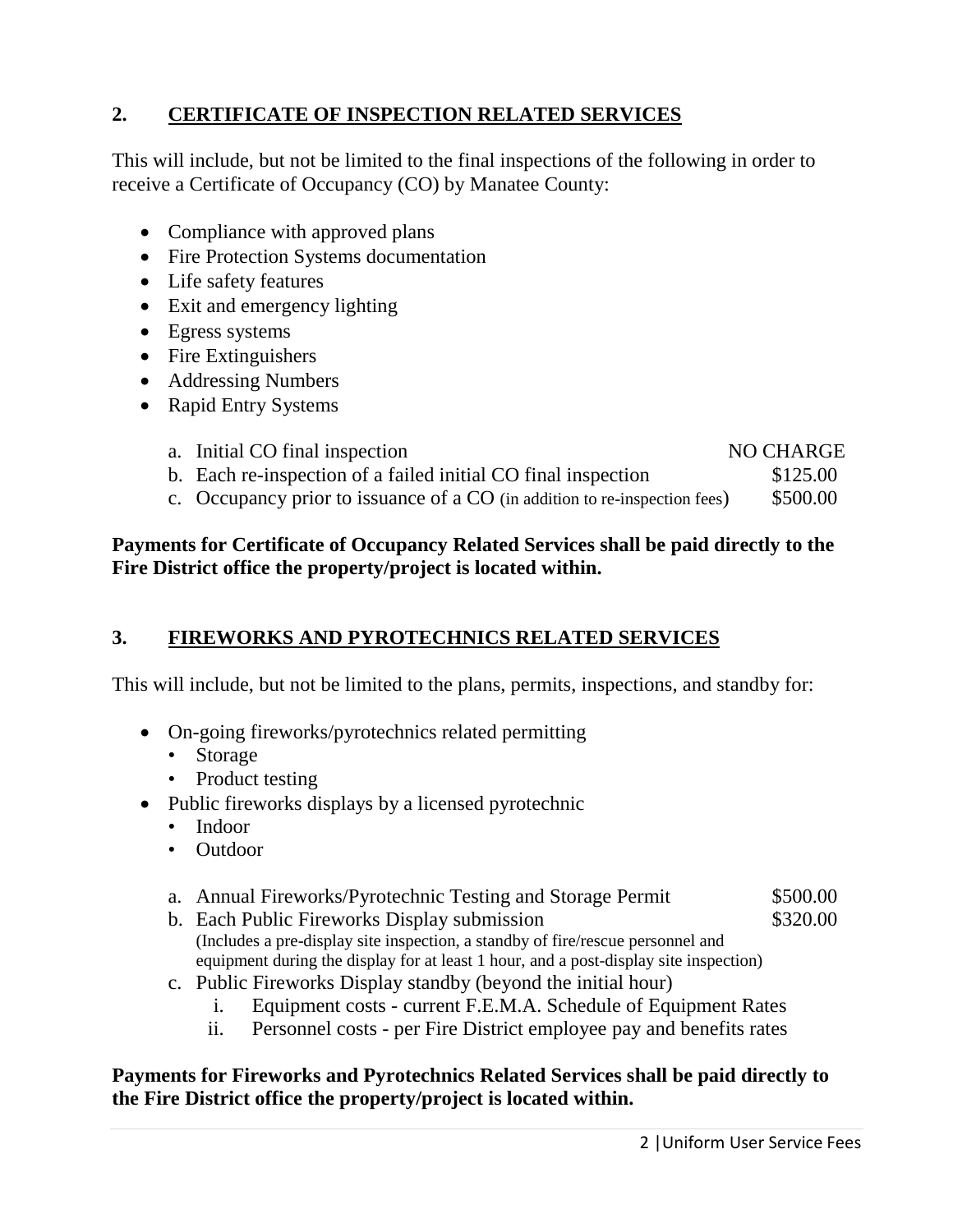# **2. CERTIFICATE OF INSPECTION RELATED SERVICES**

This will include, but not be limited to the final inspections of the following in order to receive a Certificate of Occupancy (CO) by Manatee County:

- Compliance with approved plans
- Fire Protection Systems documentation
- Life safety features
- Exit and emergency lighting
- Egress systems
- Fire Extinguishers
- Addressing Numbers
- Rapid Entry Systems

| a. Initial CO final inspection                                                                                                                                                                                                                                                                                |  | NO CHARGE                                               |
|---------------------------------------------------------------------------------------------------------------------------------------------------------------------------------------------------------------------------------------------------------------------------------------------------------------|--|---------------------------------------------------------|
| b. Each re-inspection of a failed initial CO final inspection                                                                                                                                                                                                                                                 |  | \$125.00                                                |
| $\mathcal{L}$ . Or measure when the second of $\mathcal{L}$ $\mathcal{L}$ $\mathcal{L}$ $\mathcal{L}$ and $\mathcal{L}$ and $\mathcal{L}$ and $\mathcal{L}$ and $\mathcal{L}$ and $\mathcal{L}$ and $\mathcal{L}$ and $\mathcal{L}$ and $\mathcal{L}$ and $\mathcal{L}$ and $\mathcal{L}$ and $\mathcal{L}$ a |  | $\triangle$ $F \triangle \triangle \triangle \triangle$ |

c. Occupancy prior to issuance of a CO (in addition to re-inspection fees) \$500.00

#### **Payments for Certificate of Occupancy Related Services shall be paid directly to the Fire District office the property/project is located within.**

### **3. FIREWORKS AND PYROTECHNICS RELATED SERVICES**

This will include, but not be limited to the plans, permits, inspections, and standby for:

- On-going fireworks/pyrotechnics related permitting
	- Storage
	- Product testing
- Public fireworks displays by a licensed pyrotechnic
	- Indoor
	- Outdoor
	- a. Annual Fireworks/Pyrotechnic Testing and Storage Permit  $$500.00$
	- b. Each Public Fireworks Display submission  $$320.00$ (Includes a pre-display site inspection, a standby of fire/rescue personnel and equipment during the display for at least 1 hour, and a post-display site inspection)
	- c. Public Fireworks Display standby (beyond the initial hour)
		- i. Equipment costs current F.E.M.A. Schedule of Equipment Rates
		- ii. Personnel costs per Fire District employee pay and benefits rates

#### **Payments for Fireworks and Pyrotechnics Related Services shall be paid directly to the Fire District office the property/project is located within.**